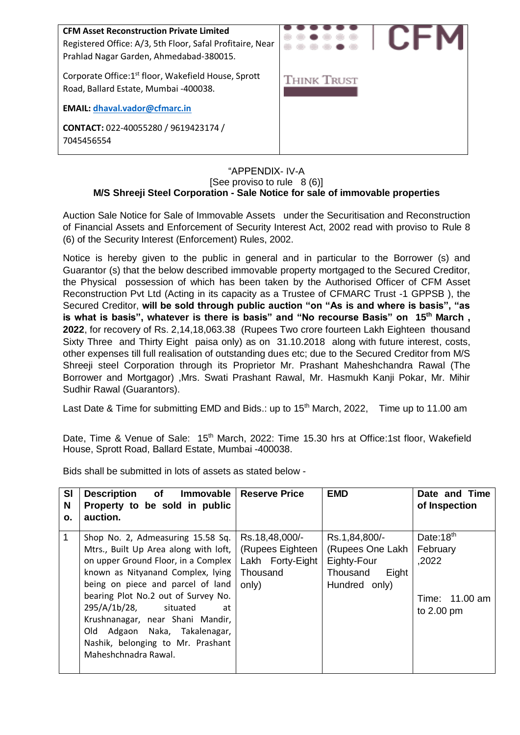

#### "APPENDIX- IV-A [See proviso to rule  $8(6)$ ] **M/S Shreeji Steel Corporation - Sale Notice for sale of immovable properties**

Auction Sale Notice for Sale of Immovable Assets under the Securitisation and Reconstruction of Financial Assets and Enforcement of Security Interest Act, 2002 read with proviso to Rule 8 (6) of the Security Interest (Enforcement) Rules, 2002.

Notice is hereby given to the public in general and in particular to the Borrower (s) and Guarantor (s) that the below described immovable property mortgaged to the Secured Creditor, the Physical possession of which has been taken by the Authorised Officer of CFM Asset Reconstruction Pvt Ltd (Acting in its capacity as a Trustee of CFMARC Trust -1 GPPSB ), the Secured Creditor, **will be sold through public auction "on "As is and where is basis", "as is what is basis", whatever is there is basis" and "No recourse Basis" on 15 th March , 2022**, for recovery of Rs. 2,14,18,063.38 (Rupees Two crore fourteen Lakh Eighteen thousand Sixty Three and Thirty Eight paisa only) as on 31.10.2018 along with future interest, costs, other expenses till full realisation of outstanding dues etc; due to the Secured Creditor from M/S Shreeji steel Corporation through its Proprietor Mr. Prashant Maheshchandra Rawal (The Borrower and Mortgagor) ,Mrs. Swati Prashant Rawal, Mr. Hasmukh Kanji Pokar, Mr. Mihir Sudhir Rawal (Guarantors).

Last Date & Time for submitting EMD and Bids.: up to 15<sup>th</sup> March, 2022, Time up to 11.00 am

Date, Time & Venue of Sale: 15<sup>th</sup> March, 2022: Time 15.30 hrs at Office:1st floor, Wakefield House, Sprott Road, Ballard Estate, Mumbai -400038.

Bids shall be submitted in lots of assets as stated below -

| <b>SI</b><br>N | <b>Description</b> of<br>Immovable<br>Property to be sold in public                                                                                                                                                                                                                                                                                                                                    | <b>Reserve Price</b>                                                        | <b>EMD</b>                                                                             | Date and Time<br>of Inspection                                             |
|----------------|--------------------------------------------------------------------------------------------------------------------------------------------------------------------------------------------------------------------------------------------------------------------------------------------------------------------------------------------------------------------------------------------------------|-----------------------------------------------------------------------------|----------------------------------------------------------------------------------------|----------------------------------------------------------------------------|
| Ο.             | auction.                                                                                                                                                                                                                                                                                                                                                                                               |                                                                             |                                                                                        |                                                                            |
|                | Shop No. 2, Admeasuring 15.58 Sq.<br>Mtrs., Built Up Area along with loft,<br>on upper Ground Floor, in a Complex<br>known as Nityanand Complex, lying<br>being on piece and parcel of land<br>bearing Plot No.2 out of Survey No.<br>295/A/1b/28,<br>situated<br>at<br>Krushnanagar, near Shani Mandir,<br>Old Adgaon Naka, Takalenagar,<br>Nashik, belonging to Mr. Prashant<br>Maheshchnadra Rawal. | Rs.18,48,000/-<br>(Rupees Eighteen<br>Lakh Forty-Eight<br>Thousand<br>only) | Rs.1,84,800/-<br>(Rupees One Lakh<br>Eighty-Four<br>Thousand<br>Eight<br>Hundred only) | Date:18 <sup>th</sup><br>February<br>,2022<br>Time: 11.00 am<br>to 2.00 pm |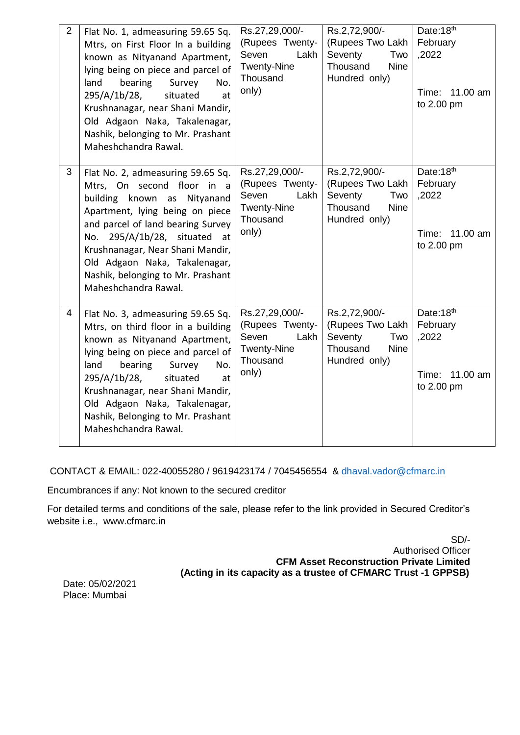| $\overline{2}$ | Flat No. 1, admeasuring 59.65 Sq.<br>Mtrs, on First Floor In a building<br>known as Nityanand Apartment,<br>lying being on piece and parcel of<br>land<br>bearing<br>Survey<br>No.<br>295/A/1b/28,<br>situated<br>at<br>Krushnanagar, near Shani Mandir,<br>Old Adgaon Naka, Takalenagar,<br>Nashik, belonging to Mr. Prashant<br>Maheshchandra Rawal. | Rs.27,29,000/-<br>(Rupees Twenty-<br>Seven<br>Lakh<br><b>Twenty-Nine</b><br>Thousand<br>only) | Rs.2,72,900/-<br>(Rupees Two Lakh<br>Seventy<br>Two<br>Thousand<br><b>Nine</b><br>Hundred only) | Date:18th<br>February<br>,2022<br>11.00 am<br>Time:<br>to 2.00 pm |
|----------------|--------------------------------------------------------------------------------------------------------------------------------------------------------------------------------------------------------------------------------------------------------------------------------------------------------------------------------------------------------|-----------------------------------------------------------------------------------------------|-------------------------------------------------------------------------------------------------|-------------------------------------------------------------------|
| 3              | Flat No. 2, admeasuring 59.65 Sq.<br>Mtrs, On second floor in a<br>building known as<br>Nityanand<br>Apartment, lying being on piece<br>and parcel of land bearing Survey<br>No. 295/A/1b/28, situated at<br>Krushnanagar, Near Shani Mandir,<br>Old Adgaon Naka, Takalenagar,<br>Nashik, belonging to Mr. Prashant<br>Maheshchandra Rawal.            | Rs.27,29,000/-<br>(Rupees Twenty-<br>Seven<br>Lakh<br><b>Twenty-Nine</b><br>Thousand<br>only) | Rs.2,72,900/-<br>(Rupees Two Lakh<br>Seventy<br>Two<br>Thousand<br><b>Nine</b><br>Hundred only) | Date:18th<br>February<br>,2022<br>Time: 11.00 am<br>to 2.00 pm    |
| 4              | Flat No. 3, admeasuring 59.65 Sq.<br>Mtrs, on third floor in a building<br>known as Nityanand Apartment,<br>lying being on piece and parcel of<br>land<br>bearing<br>Survey<br>No.<br>295/A/1b/28,<br>situated<br>at<br>Krushnanagar, near Shani Mandir,<br>Old Adgaon Naka, Takalenagar,<br>Nashik, Belonging to Mr. Prashant<br>Maheshchandra Rawal. | Rs.27,29,000/-<br>(Rupees Twenty-<br>Seven<br>Lakh<br><b>Twenty-Nine</b><br>Thousand<br>only) | Rs.2,72,900/-<br>(Rupees Two Lakh<br>Seventy<br>Two<br>Thousand<br><b>Nine</b><br>Hundred only) | Date:18th<br>February<br>,2022<br>11.00 am<br>Time:<br>to 2.00 pm |

CONTACT & EMAIL: 022-40055280 / 9619423174 / 7045456554 & [dhaval.vador@cfmarc.in](mailto:dhaval.vador@cfmarc.in)

Encumbrances if any: Not known to the secured creditor

For detailed terms and conditions of the sale, please refer to the link provided in Secured Creditor's website i.e., www.cfmarc.in

> SD/- Authorised Officer **CFM Asset Reconstruction Private Limited (Acting in its capacity as a trustee of CFMARC Trust -1 GPPSB)**

Date: 05/02/2021 Place: Mumbai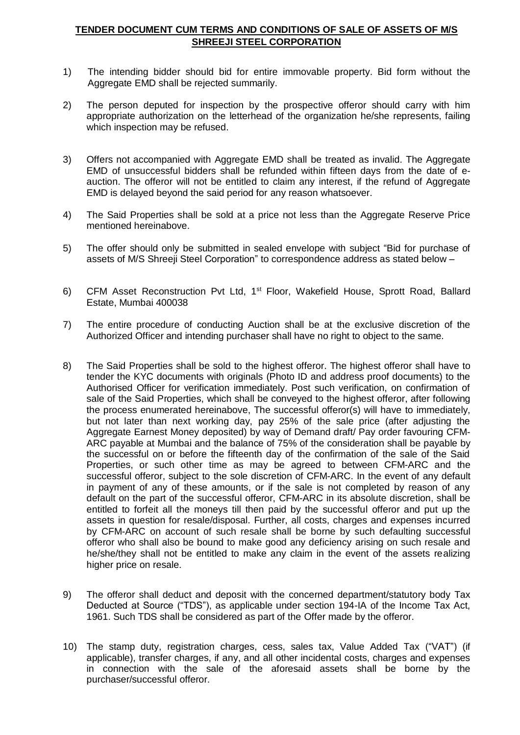## **TENDER DOCUMENT CUM TERMS AND CONDITIONS OF SALE OF ASSETS OF M/S SHREEJI STEEL CORPORATION**

- 1) The intending bidder should bid for entire immovable property. Bid form without the Aggregate EMD shall be rejected summarily.
- 2) The person deputed for inspection by the prospective offeror should carry with him appropriate authorization on the letterhead of the organization he/she represents, failing which inspection may be refused.
- 3) Offers not accompanied with Aggregate EMD shall be treated as invalid. The Aggregate EMD of unsuccessful bidders shall be refunded within fifteen days from the date of eauction. The offeror will not be entitled to claim any interest, if the refund of Aggregate EMD is delayed beyond the said period for any reason whatsoever.
- 4) The Said Properties shall be sold at a price not less than the Aggregate Reserve Price mentioned hereinabove.
- 5) The offer should only be submitted in sealed envelope with subject "Bid for purchase of assets of M/S Shreeji Steel Corporation" to correspondence address as stated below –
- 6) CFM Asset Reconstruction Pvt Ltd, 1<sup>st</sup> Floor, Wakefield House, Sprott Road, Ballard Estate, Mumbai 400038
- 7) The entire procedure of conducting Auction shall be at the exclusive discretion of the Authorized Officer and intending purchaser shall have no right to object to the same.
- 8) The Said Properties shall be sold to the highest offeror. The highest offeror shall have to tender the KYC documents with originals (Photo ID and address proof documents) to the Authorised Officer for verification immediately. Post such verification, on confirmation of sale of the Said Properties, which shall be conveyed to the highest offeror, after following the process enumerated hereinabove, The successful offeror(s) will have to immediately, but not later than next working day, pay 25% of the sale price (after adjusting the Aggregate Earnest Money deposited) by way of Demand draft/ Pay order favouring CFM-ARC payable at Mumbai and the balance of 75% of the consideration shall be payable by the successful on or before the fifteenth day of the confirmation of the sale of the Said Properties, or such other time as may be agreed to between CFM-ARC and the successful offeror, subject to the sole discretion of CFM-ARC. In the event of any default in payment of any of these amounts, or if the sale is not completed by reason of any default on the part of the successful offeror, CFM-ARC in its absolute discretion, shall be entitled to forfeit all the moneys till then paid by the successful offeror and put up the assets in question for resale/disposal. Further, all costs, charges and expenses incurred by CFM-ARC on account of such resale shall be borne by such defaulting successful offeror who shall also be bound to make good any deficiency arising on such resale and he/she/they shall not be entitled to make any claim in the event of the assets realizing higher price on resale.
- 9) The offeror shall deduct and deposit with the concerned department/statutory body Tax Deducted at Source ("TDS"), as applicable under section 194-IA of the Income Tax Act, 1961. Such TDS shall be considered as part of the Offer made by the offeror.
- 10) The stamp duty, registration charges, cess, sales tax, Value Added Tax ("VAT") (if applicable), transfer charges, if any, and all other incidental costs, charges and expenses in connection with the sale of the aforesaid assets shall be borne by the purchaser/successful offeror.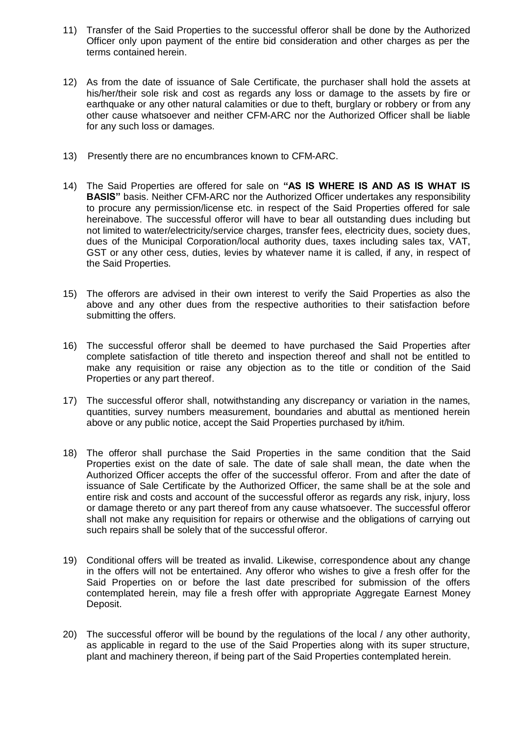- 11) Transfer of the Said Properties to the successful offeror shall be done by the Authorized Officer only upon payment of the entire bid consideration and other charges as per the terms contained herein.
- 12) As from the date of issuance of Sale Certificate, the purchaser shall hold the assets at his/her/their sole risk and cost as regards any loss or damage to the assets by fire or earthquake or any other natural calamities or due to theft, burglary or robbery or from any other cause whatsoever and neither CFM-ARC nor the Authorized Officer shall be liable for any such loss or damages.
- 13) Presently there are no encumbrances known to CFM-ARC.
- 14) The Said Properties are offered for sale on **"AS IS WHERE IS AND AS IS WHAT IS BASIS"** basis. Neither CFM-ARC nor the Authorized Officer undertakes any responsibility to procure any permission/license etc. in respect of the Said Properties offered for sale hereinabove. The successful offeror will have to bear all outstanding dues including but not limited to water/electricity/service charges, transfer fees, electricity dues, society dues, dues of the Municipal Corporation/local authority dues, taxes including sales tax, VAT, GST or any other cess, duties, levies by whatever name it is called, if any, in respect of the Said Properties.
- 15) The offerors are advised in their own interest to verify the Said Properties as also the above and any other dues from the respective authorities to their satisfaction before submitting the offers.
- 16) The successful offeror shall be deemed to have purchased the Said Properties after complete satisfaction of title thereto and inspection thereof and shall not be entitled to make any requisition or raise any objection as to the title or condition of the Said Properties or any part thereof.
- 17) The successful offeror shall, notwithstanding any discrepancy or variation in the names, quantities, survey numbers measurement, boundaries and abuttal as mentioned herein above or any public notice, accept the Said Properties purchased by it/him.
- 18) The offeror shall purchase the Said Properties in the same condition that the Said Properties exist on the date of sale. The date of sale shall mean, the date when the Authorized Officer accepts the offer of the successful offeror. From and after the date of issuance of Sale Certificate by the Authorized Officer, the same shall be at the sole and entire risk and costs and account of the successful offeror as regards any risk, injury, loss or damage thereto or any part thereof from any cause whatsoever. The successful offeror shall not make any requisition for repairs or otherwise and the obligations of carrying out such repairs shall be solely that of the successful offeror.
- 19) Conditional offers will be treated as invalid. Likewise, correspondence about any change in the offers will not be entertained. Any offeror who wishes to give a fresh offer for the Said Properties on or before the last date prescribed for submission of the offers contemplated herein, may file a fresh offer with appropriate Aggregate Earnest Money Deposit.
- 20) The successful offeror will be bound by the regulations of the local / any other authority, as applicable in regard to the use of the Said Properties along with its super structure, plant and machinery thereon, if being part of the Said Properties contemplated herein.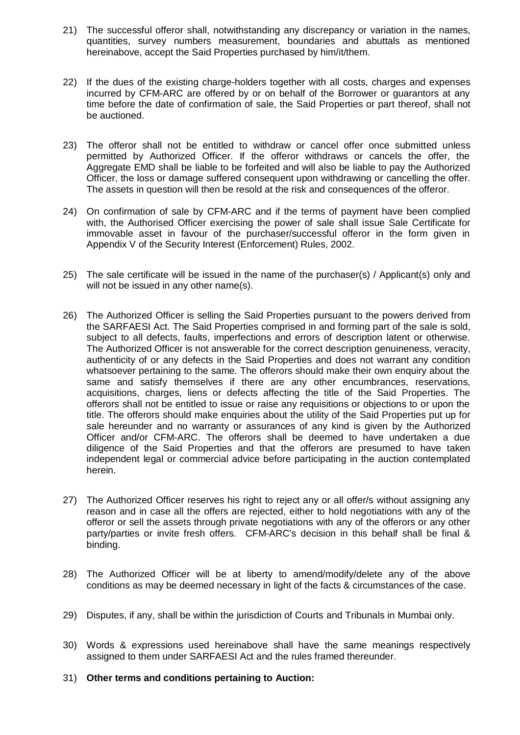- 21) The successful offeror shall, notwithstanding any discrepancy or variation in the names, quantities, survey numbers measurement, boundaries and abuttals as mentioned hereinabove, accept the Said Properties purchased by him/it/them.
- 22) If the dues of the existing charge-holders together with all costs, charges and expenses incurred by CFM-ARC are offered by or on behalf of the Borrower or guarantors at any time before the date of confirmation of sale, the Said Properties or part thereof, shall not be auctioned.
- 23) The offeror shall not be entitled to withdraw or cancel offer once submitted unless permitted by Authorized Officer. If the offeror withdraws or cancels the offer, the Aggregate EMD shall be liable to be forfeited and will also be liable to pay the Authorized Officer, the loss or damage suffered consequent upon withdrawing or cancelling the offer. The assets in question will then be resold at the risk and consequences of the offeror.
- 24) On confirmation of sale by CFM-ARC and if the terms of payment have been complied with, the Authorised Officer exercising the power of sale shall issue Sale Certificate for immovable asset in favour of the purchaser/successful offeror in the form given in Appendix V of the Security Interest (Enforcement) Rules, 2002.
- 25) The sale certificate will be issued in the name of the purchaser(s) / Applicant(s) only and will not be issued in any other name(s).
- 26) The Authorized Officer is selling the Said Properties pursuant to the powers derived from the SARFAESI Act. The Said Properties comprised in and forming part of the sale is sold, subject to all defects, faults, imperfections and errors of description latent or otherwise. The Authorized Officer is not answerable for the correct description genuineness, veracity, authenticity of or any defects in the Said Properties and does not warrant any condition whatsoever pertaining to the same. The offerors should make their own enquiry about the same and satisfy themselves if there are any other encumbrances, reservations, acquisitions, charges, liens or defects affecting the title of the Said Properties. The offerors shall not be entitled to issue or raise any requisitions or objections to or upon the title. The offerors should make enquiries about the utility of the Said Properties put up for sale hereunder and no warranty or assurances of any kind is given by the Authorized Officer and/or CFM-ARC. The offerors shall be deemed to have undertaken a due diligence of the Said Properties and that the offerors are presumed to have taken independent legal or commercial advice before participating in the auction contemplated herein.
- 27) The Authorized Officer reserves his right to reject any or all offer/s without assigning any reason and in case all the offers are rejected, either to hold negotiations with any of the offeror or sell the assets through private negotiations with any of the offerors or any other party/parties or invite fresh offers. CFM-ARC's decision in this behalf shall be final & binding.
- 28) The Authorized Officer will be at liberty to amend/modify/delete any of the above conditions as may be deemed necessary in light of the facts & circumstances of the case.
- 29) Disputes, if any, shall be within the jurisdiction of Courts and Tribunals in Mumbai only.
- 30) Words & expressions used hereinabove shall have the same meanings respectively assigned to them under SARFAESI Act and the rules framed thereunder.
- 31) **Other terms and conditions pertaining to Auction:**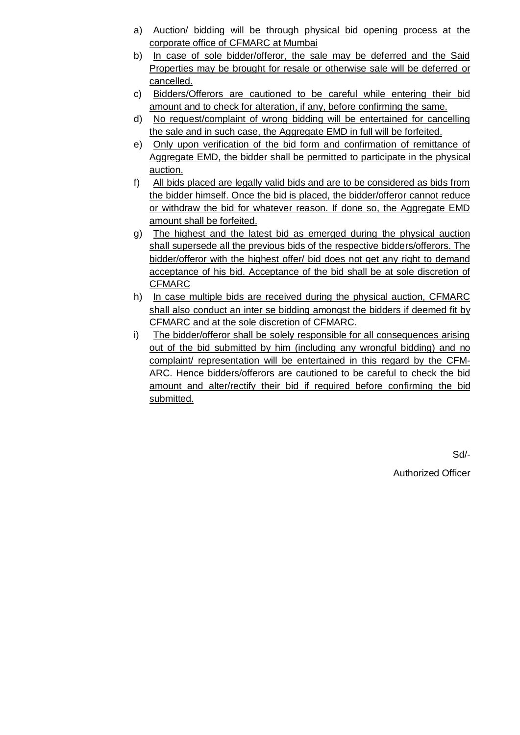- a) Auction/ bidding will be through physical bid opening process at the corporate office of CFMARC at Mumbai
- b) In case of sole bidder/offeror, the sale may be deferred and the Said Properties may be brought for resale or otherwise sale will be deferred or cancelled.
- c) Bidders/Offerors are cautioned to be careful while entering their bid amount and to check for alteration, if any, before confirming the same.
- d) No request/complaint of wrong bidding will be entertained for cancelling the sale and in such case, the Aggregate EMD in full will be forfeited.
- e) Only upon verification of the bid form and confirmation of remittance of Aggregate EMD, the bidder shall be permitted to participate in the physical auction.
- f) All bids placed are legally valid bids and are to be considered as bids from the bidder himself. Once the bid is placed, the bidder/offeror cannot reduce or withdraw the bid for whatever reason. If done so, the Aggregate EMD amount shall be forfeited.
- g) The highest and the latest bid as emerged during the physical auction shall supersede all the previous bids of the respective bidders/offerors. The bidder/offeror with the highest offer/ bid does not get any right to demand acceptance of his bid. Acceptance of the bid shall be at sole discretion of CFMARC
- h) In case multiple bids are received during the physical auction, CFMARC shall also conduct an inter se bidding amongst the bidders if deemed fit by CFMARC and at the sole discretion of CFMARC.
- i) The bidder/offeror shall be solely responsible for all consequences arising out of the bid submitted by him (including any wrongful bidding) and no complaint/ representation will be entertained in this regard by the CFM-ARC. Hence bidders/offerors are cautioned to be careful to check the bid amount and alter/rectify their bid if required before confirming the bid submitted.

Sd/-

Authorized Officer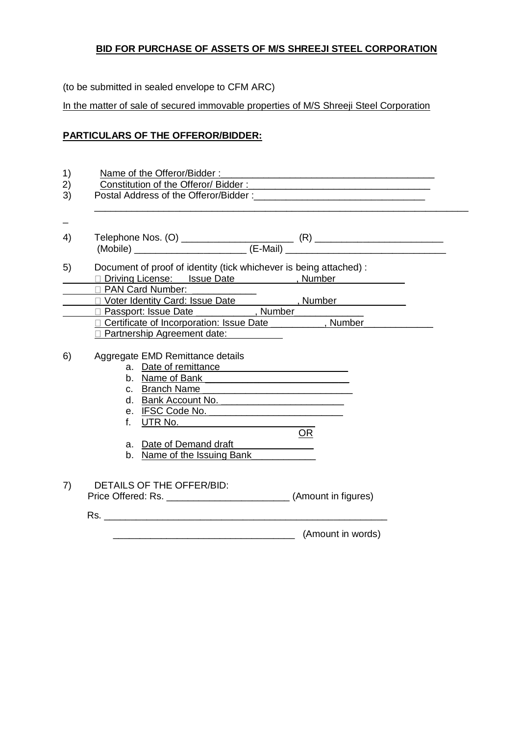# **BID FOR PURCHASE OF ASSETS OF M/S SHREEJI STEEL CORPORATION**

(to be submitted in sealed envelope to CFM ARC)

In the matter of sale of secured immovable properties of M/S Shreeji Steel Corporation

## **PARTICULARS OF THE OFFEROR/BIDDER:**

| 1)<br>2)<br>3) | Name of the Offeror/Bidder:<br><u> 1989 - Johann Stein, synsk politiker og de forskeler og de forskeler og de forskeler og de forskeler og de for</u>                                                                                                                                                                                                                                                                                                               |  |
|----------------|---------------------------------------------------------------------------------------------------------------------------------------------------------------------------------------------------------------------------------------------------------------------------------------------------------------------------------------------------------------------------------------------------------------------------------------------------------------------|--|
|                |                                                                                                                                                                                                                                                                                                                                                                                                                                                                     |  |
| 4)             |                                                                                                                                                                                                                                                                                                                                                                                                                                                                     |  |
| 5)             | Document of proof of identity (tick whichever is being attached) :<br>Diving License: Issue Date __________, Number___________<br>D PAN Card Number: 2001                                                                                                                                                                                                                                                                                                           |  |
|                | □ Voter Identity Card: Issue Date<br>□ Voter Identity Card: Issue Date<br>□ Wumber                                                                                                                                                                                                                                                                                                                                                                                  |  |
|                | D Passport: Issue Date _____________, Number_________                                                                                                                                                                                                                                                                                                                                                                                                               |  |
|                | Certificate of Incorporation: Issue Date ________, Number_<br>□ Partnership Agreement date:                                                                                                                                                                                                                                                                                                                                                                         |  |
| 6)             | Aggregate EMD Remittance details<br>a. Date of remittance example and the same state of the state of the state of the state of the state of the state of the state of the state of the state of the state of the state of the state of the state of the state of t<br>b. Name of Bank <u>entitled</u> and the Name of Bank<br>c. Branch Name<br>d. Bank Account No.<br>e. IFSC Code No. 1994<br><b>OR</b><br>a. Date of Demand draft<br>b. Name of the Issuing Bank |  |
| 7)             | DETAILS OF THE OFFER/BID:                                                                                                                                                                                                                                                                                                                                                                                                                                           |  |
|                | (Amount in words)                                                                                                                                                                                                                                                                                                                                                                                                                                                   |  |